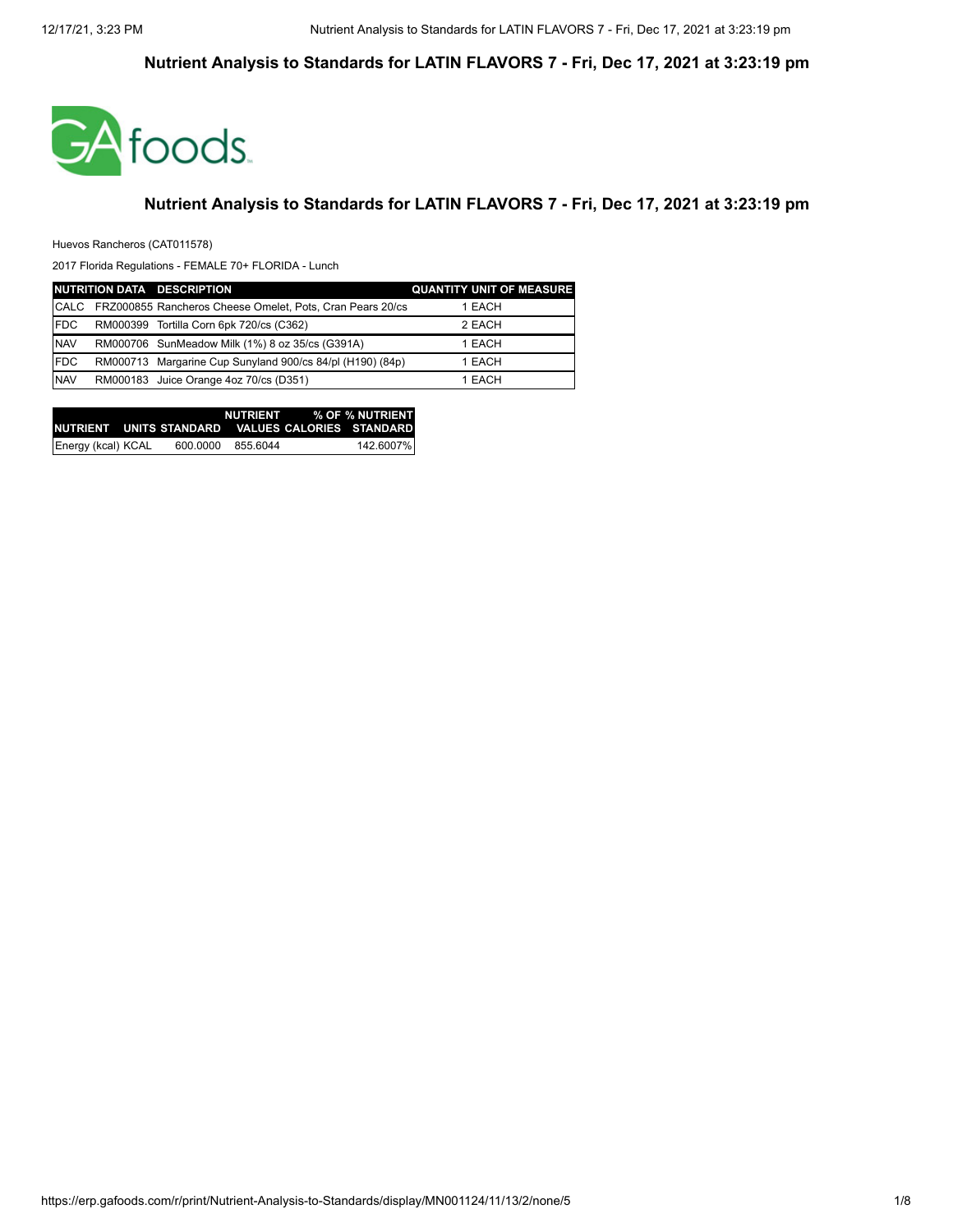

#### **Nutrient Analysis to Standards for LATIN FLAVORS 7 - Fri, Dec 17, 2021 at 3:23:19 pm**

Huevos Rancheros (CAT011578)

|             | NUTRITION DATA DESCRIPTION                                | <b>QUANTITY UNIT OF MEASURE</b> |
|-------------|-----------------------------------------------------------|---------------------------------|
| CALC        | FRZ000855 Rancheros Cheese Omelet, Pots, Cran Pears 20/cs | 1 EACH                          |
| <b>IFDC</b> | RM000399 Tortilla Corn 6pk 720/cs (C362)                  | 2 EACH                          |
| <b>NAV</b>  | RM000706 SunMeadow Milk (1%) 8 oz 35/cs (G391A)           | 1 EACH                          |
| <b>IFDC</b> | RM000713 Margarine Cup Sunyland 900/cs 84/pl (H190) (84p) | 1 EACH                          |
| <b>NAV</b>  | RM000183 Juice Orange 4oz 70/cs (D351)                    | 1 EACH                          |

|                    |          |          | NUTRIENT % OF % NUTRIENT<br>INUTRIENT UNITS STANDARD VALUES CALORIES STANDARDI |
|--------------------|----------|----------|--------------------------------------------------------------------------------|
| Energy (kcal) KCAL | 600.0000 | 855.6044 | 142.6007%                                                                      |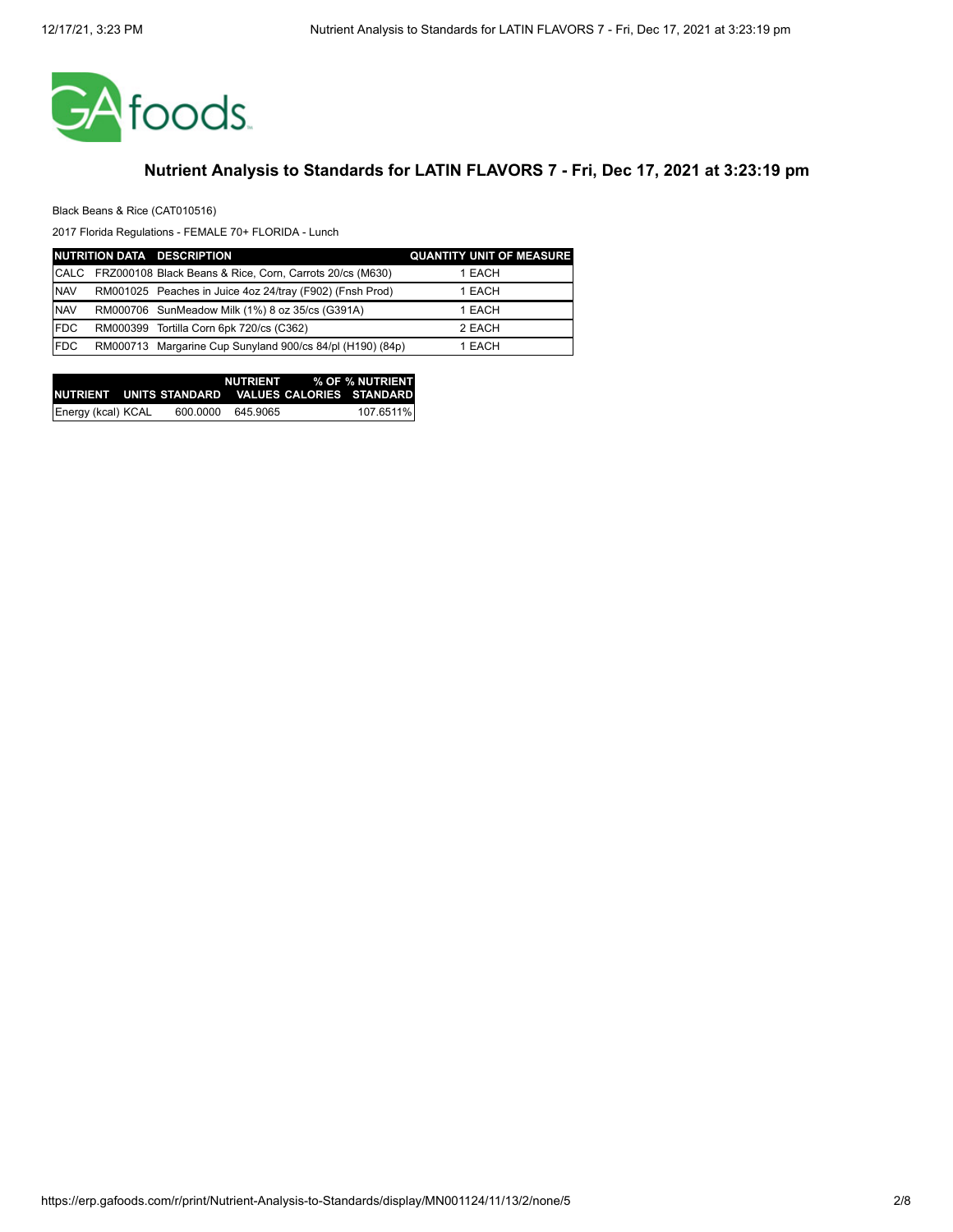

Black Beans & Rice (CAT010516)

|             | NUTRITION DATA DESCRIPTION                                | <b>QUANTITY UNIT OF MEASURE</b> |
|-------------|-----------------------------------------------------------|---------------------------------|
| <b>CALC</b> | FRZ000108 Black Beans & Rice, Corn, Carrots 20/cs (M630)  | 1 EACH                          |
| <b>NAV</b>  | RM001025 Peaches in Juice 4oz 24/tray (F902) (Fnsh Prod)  | 1 EACH                          |
| <b>NAV</b>  | RM000706 SunMeadow Milk (1%) 8 oz 35/cs (G391A)           | 1 EACH                          |
| <b>IFDC</b> | RM000399 Tortilla Corn 6pk 720/cs (C362)                  | 2 EACH                          |
| <b>IFDC</b> | RM000713 Margarine Cup Sunyland 900/cs 84/pl (H190) (84p) | 1 EACH                          |

|                    |          |          | NUTRIENT % OF % NUTRIENT                            |
|--------------------|----------|----------|-----------------------------------------------------|
|                    |          |          | INUTRIENT UNITS STANDARD VALUES CALORIES STANDARD I |
| Energy (kcal) KCAL | 600.0000 | 645.9065 | 107.6511%                                           |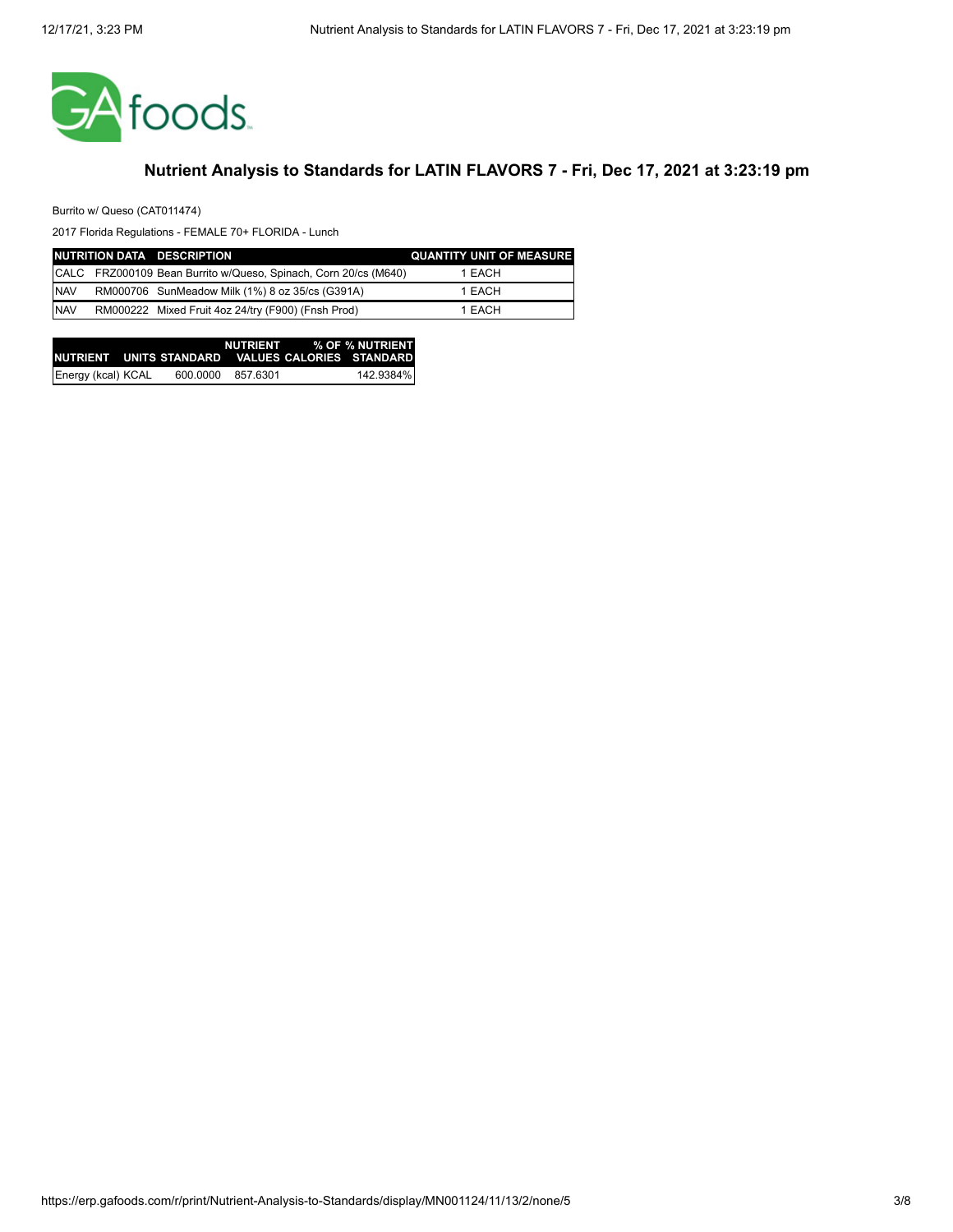

Burrito w/ Queso (CAT011474)

|            | NUTRITION DATA DESCRIPTION                                      | <b>QUANTITY UNIT OF MEASURE</b> |
|------------|-----------------------------------------------------------------|---------------------------------|
|            | CALC FRZ000109 Bean Burrito w/Queso, Spinach, Corn 20/cs (M640) | 1 EACH                          |
| <b>NAV</b> | RM000706 SunMeadow Milk (1%) 8 oz 35/cs (G391A)                 | 1 EACH                          |
| <b>NAV</b> | RM000222 Mixed Fruit 4oz 24/try (F900) (Fnsh Prod)              | 1 EACH                          |

|                    |          |          | NUTRIENT % OF % NUTRIENT                           |
|--------------------|----------|----------|----------------------------------------------------|
|                    |          |          | INUTRIENT UNITS STANDARD VALUES CALORIES STANDARD. |
| Energy (kcal) KCAL | 600.0000 | 857.6301 | 142.9384%                                          |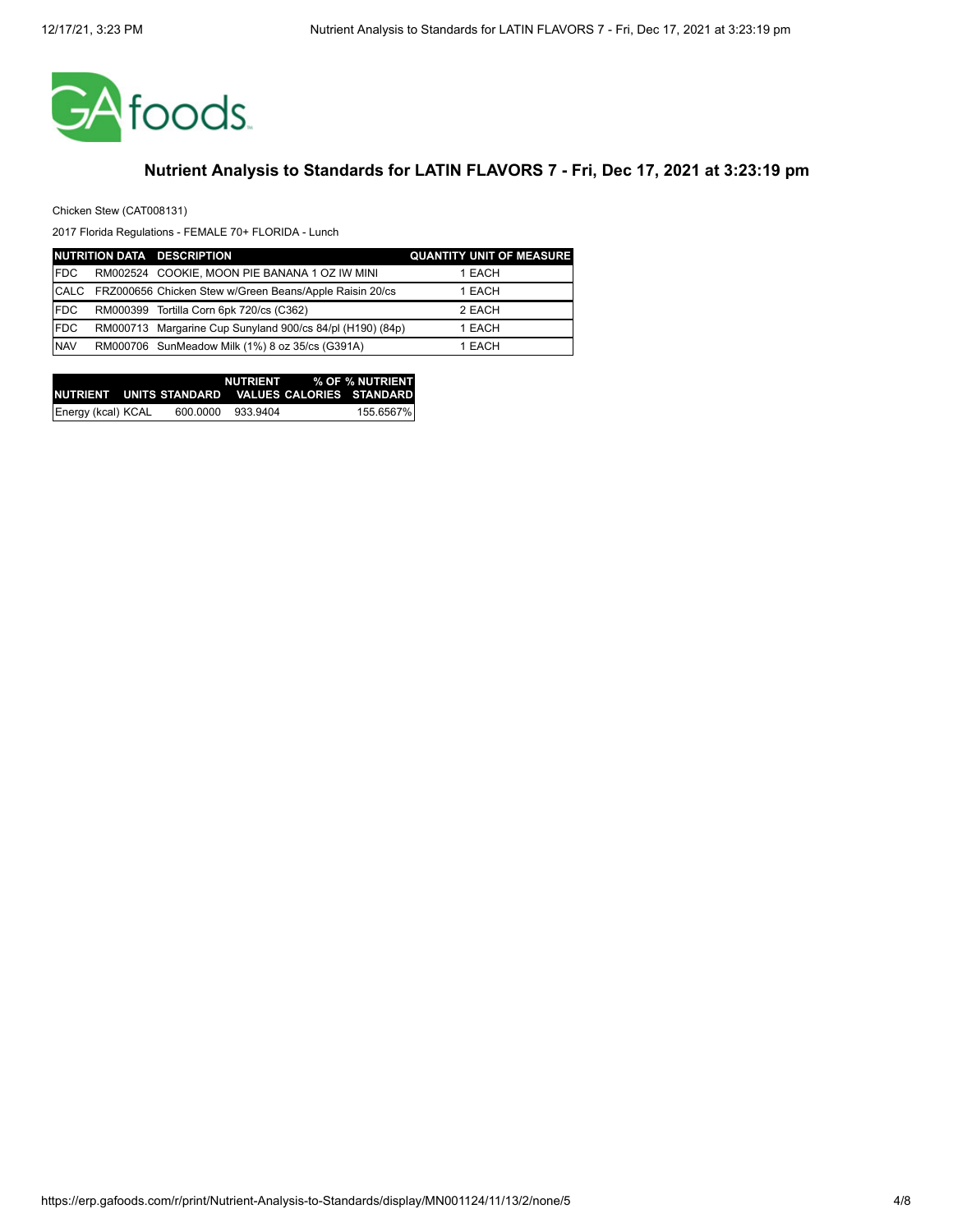

Chicken Stew (CAT008131)

|             | NUTRITION DATA DESCRIPTION                                | <b>QUANTITY UNIT OF MEASURE</b> |
|-------------|-----------------------------------------------------------|---------------------------------|
| <b>IFDC</b> | RM002524 COOKIE, MOON PIE BANANA 1 OZ IW MINI             | 1 EACH                          |
| <b>CALC</b> | FRZ000656 Chicken Stew w/Green Beans/Apple Raisin 20/cs   | 1 EACH                          |
| <b>FDC</b>  | RM000399 Tortilla Corn 6pk 720/cs (C362)                  | 2 EACH                          |
| <b>FDC</b>  | RM000713 Margarine Cup Sunyland 900/cs 84/pl (H190) (84p) | 1 EACH                          |
| <b>NAV</b>  | RM000706 SunMeadow Milk (1%) 8 oz 35/cs (G391A)           | 1 EACH                          |

|                    |          |          | NUTRIENT % OF % NUTRIENT                           |
|--------------------|----------|----------|----------------------------------------------------|
|                    |          |          | INUTRIENT UNITS STANDARD VALUES CALORIES STANDARDI |
| Energy (kcal) KCAL | 600.0000 | 933.9404 | 155.6567%                                          |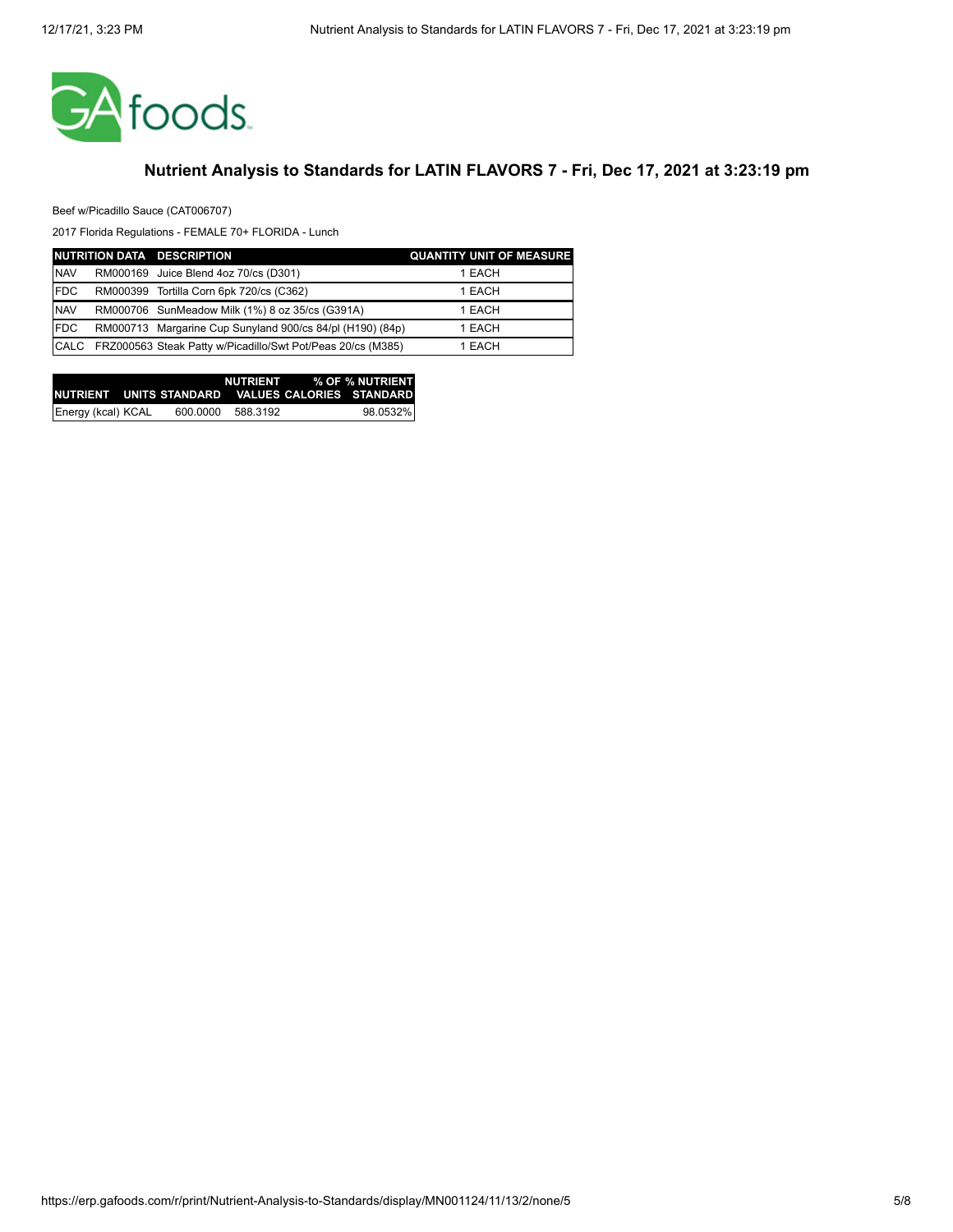

Beef w/Picadillo Sauce (CAT006707)

|             | NUTRITION DATA DESCRIPTION                                  | <b>QUANTITY UNIT OF MEASURE</b> |
|-------------|-------------------------------------------------------------|---------------------------------|
| <b>NAV</b>  | RM000169 Juice Blend 4oz 70/cs (D301)                       | 1 EACH                          |
| <b>FDC</b>  | RM000399 Tortilla Corn 6pk 720/cs (C362)                    | 1 EACH                          |
| <b>NAV</b>  | RM000706 SunMeadow Milk (1%) 8 oz 35/cs (G391A)             | 1 EACH                          |
| <b>FDC</b>  | RM000713 Margarine Cup Sunyland 900/cs 84/pl (H190) (84p)   | 1 EACH                          |
| <b>CALC</b> | FRZ000563 Steak Patty w/Picadillo/Swt Pot/Peas 20/cs (M385) | 1 EACH                          |

|                    |          |          | NUTRIENT % OF % NUTRIENT                           |
|--------------------|----------|----------|----------------------------------------------------|
|                    |          |          | INUTRIENT UNITS STANDARD VALUES CALORIES STANDARDI |
| Energy (kcal) KCAL | 600.0000 | 588.3192 | 98.0532%                                           |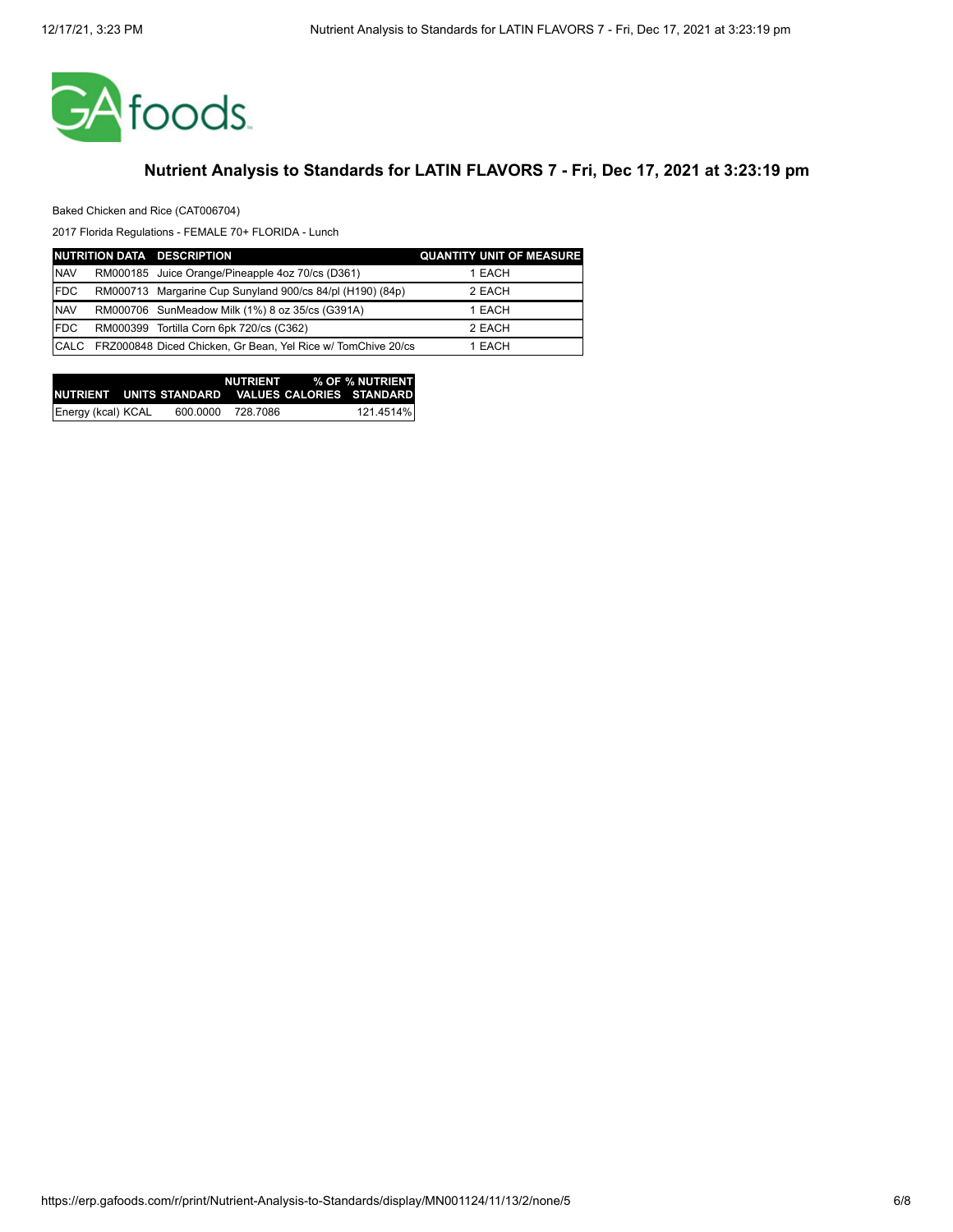

Baked Chicken and Rice (CAT006704)

|             | NUTRITION DATA DESCRIPTION                                   | <b>QUANTITY UNIT OF MEASURE</b> |
|-------------|--------------------------------------------------------------|---------------------------------|
| <b>NAV</b>  | RM000185 Juice Orange/Pineapple 4oz 70/cs (D361)             | 1 EACH                          |
| <b>FDC</b>  | RM000713 Margarine Cup Sunyland 900/cs 84/pl (H190) (84p)    | 2 EACH                          |
| <b>NAV</b>  | RM000706 SunMeadow Milk (1%) 8 oz 35/cs (G391A)              | 1 EACH                          |
| <b>IFDC</b> | RM000399 Tortilla Corn 6pk 720/cs (C362)                     | 2 EACH                          |
| <b>CALC</b> | FRZ000848 Diced Chicken, Gr Bean, Yel Rice w/ TomChive 20/cs | 1 EACH                          |

|                    |          |          | NUTRIENT % OF % NUTRIENT                            |
|--------------------|----------|----------|-----------------------------------------------------|
|                    |          |          | INUTRIENT UNITS STANDARD VALUES CALORIES STANDARD I |
| Energy (kcal) KCAL | 600.0000 | 728.7086 | 121.4514%                                           |